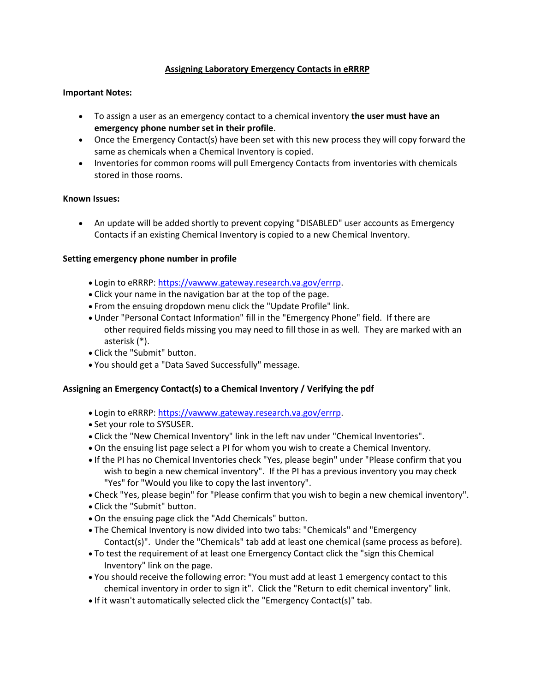# **Assigning Laboratory Emergency Contacts in eRRRP**

### **Important Notes:**

- To assign a user as an emergency contact to a chemical inventory **the user must have an emergency phone number set in their profile**.
- Once the Emergency Contact(s) have been set with this new process they will copy forward the same as chemicals when a Chemical Inventory is copied.
- Inventories for common rooms will pull Emergency Contacts from inventories with chemicals stored in those rooms.

#### **Known Issues:**

• An update will be added shortly to prevent copying "DISABLED" user accounts as Emergency Contacts if an existing Chemical Inventory is copied to a new Chemical Inventory.

#### **Setting emergency phone number in profile**

- Login to eRRRP: [https://vawww.gateway.research.va.gov/errrp.](https://gcc01.safelinks.protection.outlook.com/?url=https%3A%2F%2Fvawww.gateway.research.va.gov%2Ferrrp&data=04%7C01%7C%7Cdd5baab2d0a04117b0fd08d8eae18cb4%7Ce95f1b23abaf45ee821db7ab251ab3bf%7C0%7C0%7C637517601772266798%7CUnknown%7CTWFpbGZsb3d8eyJWIjoiMC4wLjAwMDAiLCJQIjoiV2luMzIiLCJBTiI6Ik1haWwiLCJXVCI6Mn0%3D%7C1000&sdata=MTkH814CChglEQJkmo1UzUp9WzHl9lF2fzIKnymsQgw%3D&reserved=0)
- Click your name in the navigation bar at the top of the page.
- From the ensuing dropdown menu click the "Update Profile" link.
- Under "Personal Contact Information" fill in the "Emergency Phone" field. If there are other required fields missing you may need to fill those in as well. They are marked with an asterisk (\*).
- Click the "Submit" button.
- You should get a "Data Saved Successfully" message.

#### **Assigning an Emergency Contact(s) to a Chemical Inventory / Verifying the pdf**

- Login to eRRRP: [https://vawww.gateway.research.va.gov/errrp.](https://gcc01.safelinks.protection.outlook.com/?url=https%3A%2F%2Fvawww.gateway.research.va.gov%2Ferrrp&data=04%7C01%7C%7Cdd5baab2d0a04117b0fd08d8eae18cb4%7Ce95f1b23abaf45ee821db7ab251ab3bf%7C0%7C0%7C637517601772276746%7CUnknown%7CTWFpbGZsb3d8eyJWIjoiMC4wLjAwMDAiLCJQIjoiV2luMzIiLCJBTiI6Ik1haWwiLCJXVCI6Mn0%3D%7C1000&sdata=7Sh2sutM81zf7V4pAScgcHQ1xncj1H%2BAZ8RK721VdF4%3D&reserved=0)
- Set your role to SYSUSER.
- Click the "New Chemical Inventory" link in the left nav under "Chemical Inventories".
- On the ensuing list page select a PI for whom you wish to create a Chemical Inventory.
- If the PI has no Chemical Inventories check "Yes, please begin" under "Please confirm that you wish to begin a new chemical inventory". If the PI has a previous inventory you may check "Yes" for "Would you like to copy the last inventory".
- Check "Yes, please begin" for "Please confirm that you wish to begin a new chemical inventory".
- Click the "Submit" button.
- On the ensuing page click the "Add Chemicals" button.
- The Chemical Inventory is now divided into two tabs: "Chemicals" and "Emergency Contact(s)". Under the "Chemicals" tab add at least one chemical (same process as before).
- To test the requirement of at least one Emergency Contact click the "sign this Chemical Inventory" link on the page.
- You should receive the following error: "You must add at least 1 emergency contact to this chemical inventory in order to sign it". Click the "Return to edit chemical inventory" link.
- If it wasn't automatically selected click the "Emergency Contact(s)" tab.